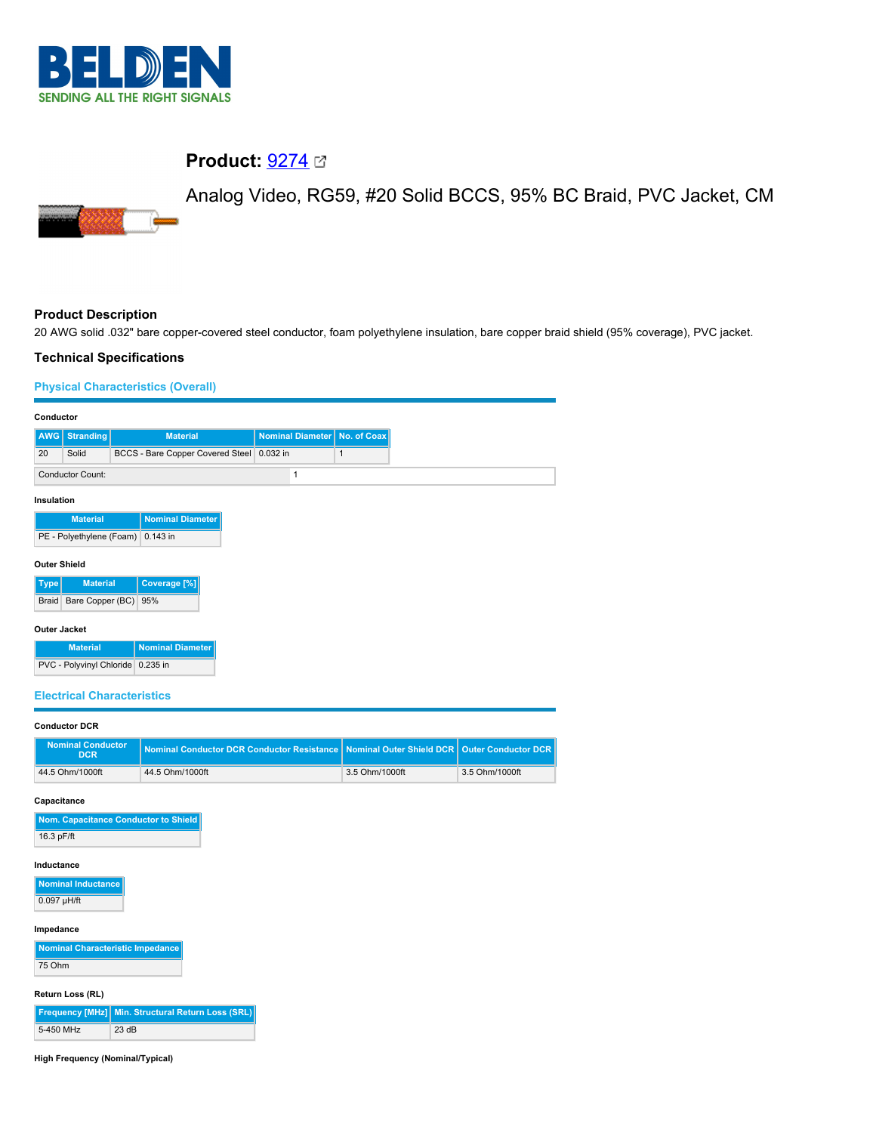

## **Product:** [9274](https://catalog.belden.com/index.cfm?event=pd&p=PF_9274&tab=downloads)

Analog Video, RG59, #20 Solid BCCS, 95% BC Braid, PVC Jacket, CM

# **Product Description**

20 AWG solid .032" bare copper-covered steel conductor, foam polyethylene insulation, bare copper braid shield (95% coverage), PVC jacket.

### **Technical Specifications**

## **Physical Characteristics (Overall)**

| Conductor                                                 |                          |                                           |  |                  |             |
|-----------------------------------------------------------|--------------------------|-------------------------------------------|--|------------------|-------------|
| AWG                                                       | <b>Stranding</b>         | <b>Material</b>                           |  | Nominal Diameter | No. of Coax |
| 20                                                        | Solid                    | BCCS - Bare Copper Covered Steel 0.032 in |  |                  | 1           |
| <b>Conductor Count:</b>                                   |                          |                                           |  | $\mathbf{1}$     |             |
| Insulation                                                |                          |                                           |  |                  |             |
|                                                           | <b>Material</b>          | <b>Nominal Diameter</b>                   |  |                  |             |
|                                                           | PE - Polyethylene (Foam) | 0.143 in                                  |  |                  |             |
| <b>Outer Shield</b>                                       |                          |                                           |  |                  |             |
| Coverage <sup>[%]</sup><br><b>Material</b><br><b>Type</b> |                          |                                           |  |                  |             |
| Braid                                                     | Bare Copper (BC)         | 95%                                       |  |                  |             |
| Outer Jacket                                              |                          |                                           |  |                  |             |
|                                                           | <b>Material</b>          | Nominal Diameter                          |  |                  |             |
|                                                           |                          | PVC - Polyvinyl Chloride 0.235 in         |  |                  |             |
| <b>Electrical Characteristics</b>                         |                          |                                           |  |                  |             |
| <b>Conductor DCR</b>                                      |                          |                                           |  |                  |             |

| <b>Nominal Conductor</b><br><b>DCR</b> | Nominal Conductor DCR Conductor Resistance Nominal Outer Shield DCR   Outer Conductor DCR |                |                |
|----------------------------------------|-------------------------------------------------------------------------------------------|----------------|----------------|
| 44.5 Ohm/1000ft                        | 44.5 Ohm/1000ft                                                                           | 3.5 Ohm/1000ft | 3.5 Ohm/1000ft |

#### **Capacitance**

| Nom. Capacitance Conductor to Shield |
|--------------------------------------|
| 16.3 pF/ft                           |

#### **Inductance**

| <b>Nominal Inductance</b> |
|---------------------------|
| $0.097$ µH/ft             |

#### **Impedance**

| Nominal Characteristic Impedance |
|----------------------------------|
| 75 Ohm                           |

#### **Return Loss (RL)**

|           | Frequency [MHz] Min. Structural Return Loss (SRL) |
|-----------|---------------------------------------------------|
| 5-450 MHz | 23 dB                                             |

#### **High Frequency (Nominal/Typical)**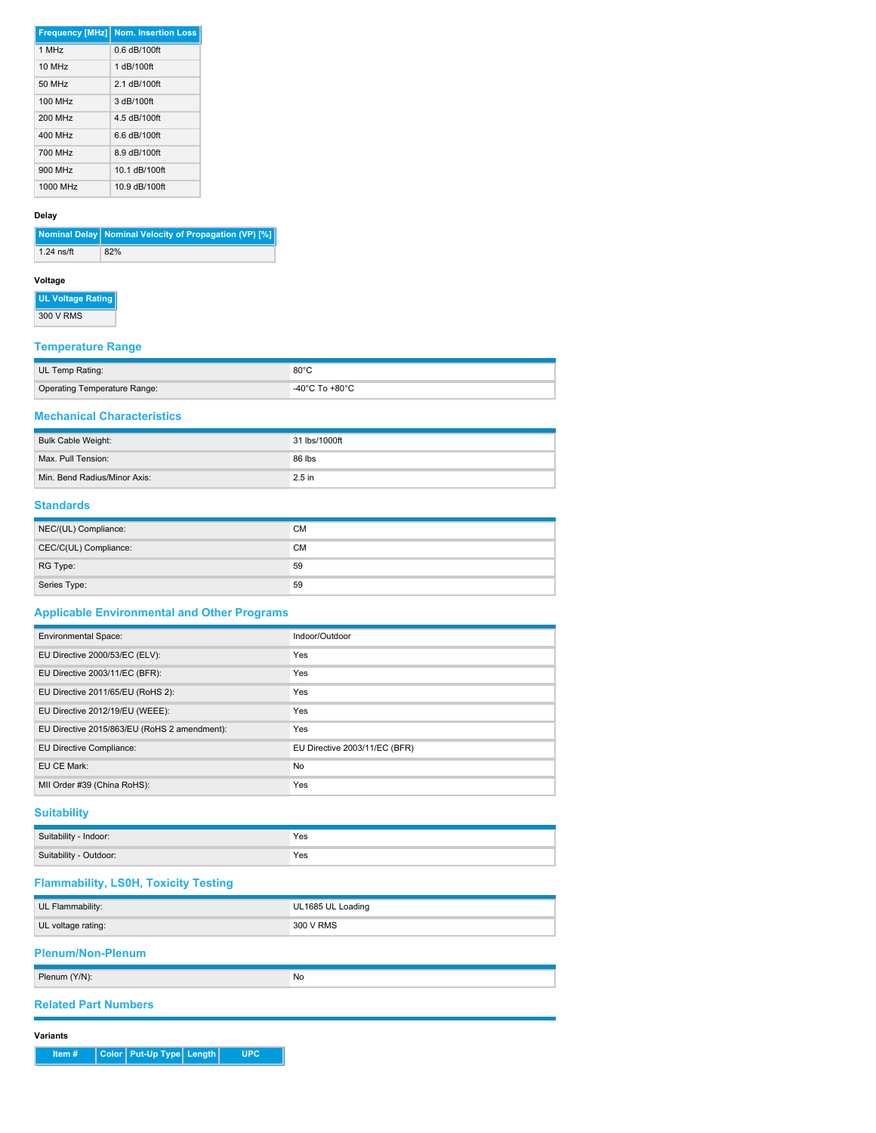|            | <b>Frequency [MHz] Nom. Insertion Loss</b> |
|------------|--------------------------------------------|
| $1$ MH $z$ | $0.6$ dB/100ft                             |
| 10 MHz     | 1 dB/100ft                                 |
| 50 MHz     | 2 1 dB/100ft                               |
| 100 MHz    | 3 dB/100ft                                 |
| 200 MHz    | 4.5 dB/100ft                               |
| 400 MHz    | $66$ dB/100ft                              |
| 700 MHz    | 8.9 dB/100ft                               |
| 900 MHz    | 10.1 dB/100ft                              |
| 1000 MHz   | 10.9 dB/100ft                              |

#### **Delay**

**Nominal Delay Nominal Velocity of Propagation (VP) [%]** 1.24 ns/ft 82%

## **Voltage**

**UL Voltage Rating**

300 V RMS

### **Temperature Range**

| UL Temp Rating:              | $80^{\circ}$ C                       |
|------------------------------|--------------------------------------|
| Operating Temperature Range: | -40 $^{\circ}$ C To +80 $^{\circ}$ C |

## **Mechanical Characteristics**

| Bulk Cable Weight:           | 31 lbs/1000ft |
|------------------------------|---------------|
| Max. Pull Tension:           | 86 lbs        |
| Min. Bend Radius/Minor Axis: | $2.5$ in      |

#### **Standards**

| NEC/(UL) Compliance:  | <b>CM</b> |
|-----------------------|-----------|
| CEC/C(UL) Compliance: | CM        |
| RG Type:              | 59        |
| Series Type:          | 59        |

## **Applicable Environmental and Other Programs**

| <b>Environmental Space:</b>                  | Indoor/Outdoor                |
|----------------------------------------------|-------------------------------|
| EU Directive 2000/53/EC (ELV):               | Yes                           |
| EU Directive 2003/11/EC (BFR):               | Yes                           |
| EU Directive 2011/65/EU (RoHS 2):            | Yes                           |
| EU Directive 2012/19/EU (WEEE):              | Yes                           |
| EU Directive 2015/863/EU (RoHS 2 amendment): | Yes                           |
| EU Directive Compliance:                     | EU Directive 2003/11/EC (BFR) |
| EU CE Mark:                                  | No                            |
| MII Order #39 (China RoHS):                  | Yes                           |

## **Suitability**

| Suitability<br>Indoor:      | Yes |
|-----------------------------|-----|
| Suitability -<br>· Outdoor: | Yes |

## **Flammability, LS0H, Toxicity Testing**

| UL Flammability:         | UL1685 UL Loading |  |  |  |
|--------------------------|-------------------|--|--|--|
| UL voltage rating:       | 300 V RMS         |  |  |  |
| <b>Plenum/Non-Plenum</b> |                   |  |  |  |
| Plenum (Y/N):            | No                |  |  |  |

#### **Related Part Numbers**

**Variants**